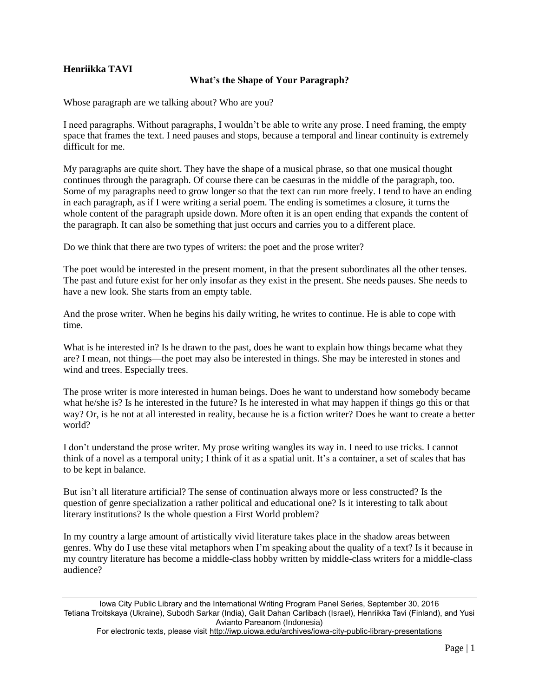## **Henriikka TAVI**

## **What's the Shape of Your Paragraph?**

Whose paragraph are we talking about? Who are you?

I need paragraphs. Without paragraphs, I wouldn't be able to write any prose. I need framing, the empty space that frames the text. I need pauses and stops, because a temporal and linear continuity is extremely difficult for me.

My paragraphs are quite short. They have the shape of a musical phrase, so that one musical thought continues through the paragraph. Of course there can be caesuras in the middle of the paragraph, too. Some of my paragraphs need to grow longer so that the text can run more freely. I tend to have an ending in each paragraph, as if I were writing a serial poem. The ending is sometimes a closure, it turns the whole content of the paragraph upside down. More often it is an open ending that expands the content of the paragraph. It can also be something that just occurs and carries you to a different place.

Do we think that there are two types of writers: the poet and the prose writer?

The poet would be interested in the present moment, in that the present subordinates all the other tenses. The past and future exist for her only insofar as they exist in the present. She needs pauses. She needs to have a new look. She starts from an empty table.

And the prose writer. When he begins his daily writing, he writes to continue. He is able to cope with time.

What is he interested in? Is he drawn to the past, does he want to explain how things became what they are? I mean, not things—the poet may also be interested in things. She may be interested in stones and wind and trees. Especially trees.

The prose writer is more interested in human beings. Does he want to understand how somebody became what he/she is? Is he interested in the future? Is he interested in what may happen if things go this or that way? Or, is he not at all interested in reality, because he is a fiction writer? Does he want to create a better world?

I don't understand the prose writer. My prose writing wangles its way in. I need to use tricks. I cannot think of a novel as a temporal unity; I think of it as a spatial unit. It's a container, a set of scales that has to be kept in balance.

But isn't all literature artificial? The sense of continuation always more or less constructed? Is the question of genre specialization a rather political and educational one? Is it interesting to talk about literary institutions? Is the whole question a First World problem?

In my country a large amount of artistically vivid literature takes place in the shadow areas between genres. Why do I use these vital metaphors when I'm speaking about the quality of a text? Is it because in my country literature has become a middle-class hobby written by middle-class writers for a middle-class audience?

For electronic texts, please visit<http://iwp.uiowa.edu/archives/iowa-city-public-library-presentations>

Iowa City Public Library and the International Writing Program Panel Series, September 30, 2016 Tetiana Troitskaya (Ukraine), Subodh Sarkar (India), Galit Dahan Carlibach (Israel), Henriikka Tavi (Finland), and Yusi Avianto Pareanom (Indonesia)